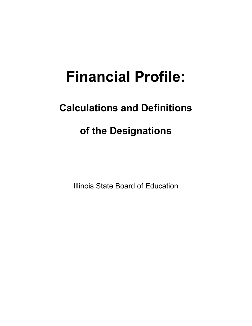# **Financial Profile:**

# **Calculations and Definitions**

# **of the Designations**

Illinois State Board of Education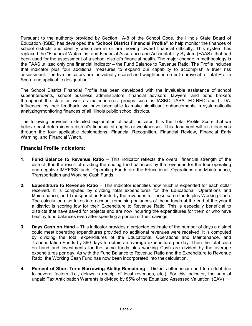Pursuant to the authority provided by Section 1A-8 of the School Code, the Illinois State Board of Education (ISBE) has developed the "**School District Financial Profile"** to help monitor the finances of school districts and identify which are in or are moving toward financial difficulty. This system has replaced the "Financial Watch List and Financial Assurance and Accountability System (FAAS)" that had been used for the assessment of a school district's financial health. The major change in methodology is the FAAS utilized only one financial indicator – the Fund Balance to Revenue Ratio. The Profile includes that indicator plus four additional measures to expand our capability to accomplish a truer risk assessment. The five indicators are individually scored and weighted in order to arrive at a Total Profile Score and applicable designation.

The School District Financial Profile has been developed with the invaluable assistance of school superintendents, school business administrators, financial advisors, lawyers, and bond brokers throughout the state as well as major interest groups such as IASBO, IASA, ED-RED and LUDA. Influenced by their feedback, we have been able to make significant enhancements in systematically analyzing/monitoring finances of all Illinois public school districts.

The following provides a detailed explanation of each indicator. It is the Total Profile Score that we believe best determines a district's financial strengths or weaknesses. This document will also lead you through the four applicable designations, Financial Recognition, Financial Review, Financial Early Warning, and Financial Watch.

## **Financial Profile Indicators:**

- **1. Fund Balance to Revenue Ratio**  This indicator reflects the overall financial strength of the district. It is the result of dividing the ending fund balances by the revenues for the four operating and negative IMRF/SS funds. Operating Funds are the Educational, Operations and Maintenance, Transportation and Working Cash Funds.
- **2. Expenditure to Revenue Ratio** This indicator identifies how much is expended for each dollar received. It is computed by dividing total expenditures for the Educational, Operations and Maintenance, and Transportation Funds by the revenues for those same funds plus Working Cash. The calculation also takes into account remaining balances of these funds at the end of the year if a district is scoring low for their Expenditure to Revenue Ratio. This is especially beneficial to districts that have saved for projects and are now incurring the expenditures for them or who have healthy fund balances even after spending a portion of their savings.
- **3. Days Cash on Hand**  This indicator provides a projected estimate of the number of days a district could meet operating expenditures provided no additional revenues were received. It is computed by dividing the total expenditures of the Educational, Operations and Maintenance, and Transportation Funds by 360 days to obtain an average expenditure per day. Then the total cash on hand and investments for the same funds plus working Cash are divided by the average expenditures per day. As with the Fund Balance to Revenue Ratio and the Expenditure to Revenue Ratio, the Working Cash Fund has now been incorporated into the calculation.
- **4. Percent of Short-Term Borrowing Ability Remaining**  Districts often incur short-term debt due to several factors (i.e., delays in receipt of local revenues, etc.). For this indicator, the sum of unpaid Tax Anticipation Warrants is divided by 85% of the Equalized Assessed Valuation (EAV)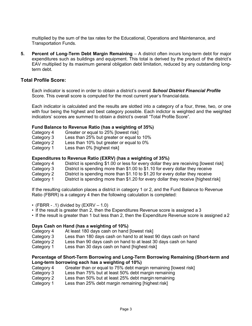multiplied by the sum of the tax rates for the Educational, Operations and Maintenance, and Transportation Funds.

**5. Percent of Long-Term Debt Margin Remaining** – A district often incurs long-term debt for major expenditures such as buildings and equipment. This total is derived by the product of the district's EAV multiplied by its maximum general obligation debt limitation, reduced by any outstanding longterm debt.

### **Total Profile Score:**

Each indicator is scored in order to obtain a district's overall *School District Financial Profile* Score. This overall score is computed for the most current year's financialdata.

Each indicator is calculated and the results are slotted into a category of a four, three, two, or one with four being the highest and best category possible. Each indictor is weighted and the weighted indicators' scores are summed to obtain a district's overall "Total Profile Score".

#### **Fund Balance to Revenue Ratio (has a weighting of 35%)**

- Category 4 Greater or equal to 25% [lowest risk]
- Category 3 Less than 25% but greater or equal to 10%<br>Category 2 Less than 10% but greater or equal to 0%
- Less than 10% but greater or equal to 0%
- Category 1 Less than 0% [highest risk]

#### **Expenditures to Revenue Ratio (EXRV) (has a weighting of 35%)**

Category 4 District is spending \$1.00 or less for every dollar they are receiving [lowest risk]

- Category 3 District is spending more than \$1.00 to \$1.10 for every dollar they receive
- Category 2 District is spending more than \$1.10 to \$1.20 for every dollar they receive
- Category 1 District is spending more than \$1.20 for every dollar they receive [highest risk]

If the resulting calculation places a district in category 1 or 2, and the Fund Balance to Revenue Ratio (FBRR) is a category 4 then the following calculation is completed:

- (FBRR .1) divided by  $(EXRV 1.0)$
- If the result is greater than 2, then the Expenditures Revenue score is assigned a 3
- If the result is greater than 1 but less than 2, then the Expenditure Revenue score is assigned a2

#### **Days Cash on Hand (has a weighting of 10%)**

- Category 4 At least 180 days cash on hand [lowest risk]
- Category 3 Less than 180 days cash on hand to at least 90 days cash on hand
- Category 2 Less than 90 days cash on hand to at least 30 days cash on hand
- Category 1 Less than 30 days cash on hand [highest risk]

#### **Percentage of Short-Term Borrowing and Long-Term Borrowing Remaining (Short-term and Long-term borrowing each has a weighting of 10%)**

- Category 4 Greater than or equal to 75% debt margin remaining [lowest risk]
- Category 3 Less than 75% but at least 50% debt margin remaining
- Category 2 Less than 50% but at least 25% debt margin remaining
- Category 1 Less than 25% debt margin remaining [highest risk]